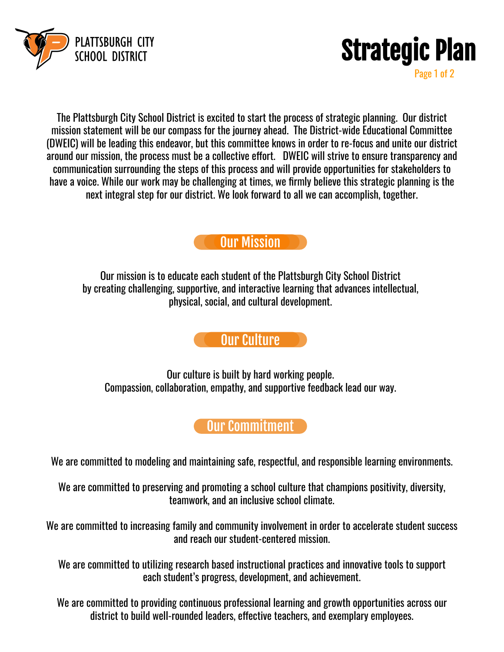



Page 1 of 2

The Plattsburgh City School District is excited to start the process of strategic planning. Our district mission statement will be our compass for the journey ahead. The District-wide Educational Committee (DWEIC) will be leading this endeavor, but this committee knows in order to re-focus and unite our district around our mission, the process must be a collective effort. DWEIC will strive to ensure transparency and communication surrounding the steps of this process and will provide opportunities for stakeholders to have a voice. While our work may be challenging at times, we firmly believe this strategic planning is the next integral step for our district. We look forward to all we can accomplish, together.



Our mission is to educate each student of the Plattsburgh City School District by creating challenging, supportive, and interactive learning that advances intellectual, physical, social, and cultural development.

## Our Culture

Our culture is built by hard working people. Compassion, collaboration, empathy, and supportive feedback lead our way.

## **Our Commitment**

We are committed to modeling and maintaining safe, respectful, and responsible learning environments.

We are committed to preserving and promoting a school culture that champions positivity, diversity, teamwork, and an inclusive school climate.

We are committed to increasing family and community involvement in order to accelerate student success and reach our student-centered mission.

We are committed to utilizing research based instructional practices and innovative tools to support each student's progress, development, and achievement.

We are committed to providing continuous professional learning and growth opportunities across our district to build well-rounded leaders, effective teachers, and exemplary employees.